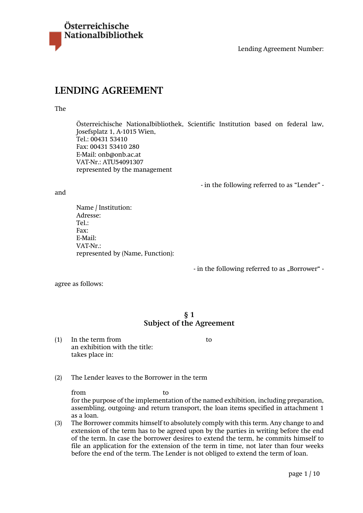

# **LENDING AGREEMENT**

#### The

Österreichische Nationalbibliothek, Scientific Institution based on federal law, Josefsplatz 1, A-1015 Wien, Tel.: 00431 53410 Fax: 00431 53410 280 E-Mail: onb@onb.ac.at VAT-Nr.: ATU54091307 represented by the management

- in the following referred to as "Lender" -

and

Name / Institution: Adresse: Tel.: Fax: E-Mail: VAT-Nr.: represented by (Name, Function):

- in the following referred to as "Borrower" -

agree as follows:

# **§ 1 Subject of the Agreement**

(1) In the term from to an exhibition with the title: takes place in:

(2) The Lender leaves to the Borrower in the term

from to to

for the purpose of the implementation of the named exhibition, including preparation, assembling, outgoing- and return transport, the loan items specified in attachment 1 as a loan.

(3) The Borrower commits himself to absolutely comply with this term. Any change to and extension of the term has to be agreed upon by the parties in writing before the end of the term. In case the borrower desires to extend the term, he commits himself to file an application for the extension of the term in time, not later than four weeks before the end of the term. The Lender is not obliged to extend the term of loan.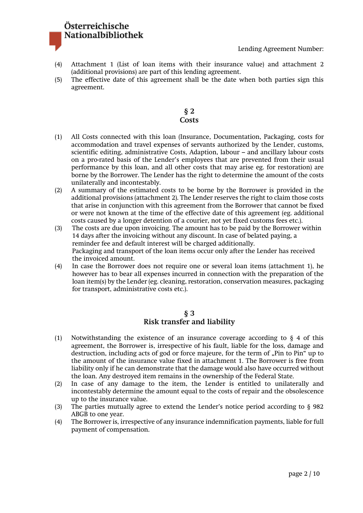# Österreichische Nationalbibliothek

- (4) Attachment 1 (List of loan items with their insurance value) and attachment 2 (additional provisions) are part of this lending agreement.
- (5) The effective date of this agreement shall be the date when both parties sign this agreement.

# **§ 2 Costs**

- (1) All Costs connected with this loan (Insurance, Documentation, Packaging, costs for accommodation and travel expenses of servants authorized by the Lender, customs, scientific editing, administrative Costs, Adaption, labour – and ancillary labour costs on a pro-rated basis of the Lender's employees that are prevented from their usual performance by this loan, and all other costs that may arise eg. for restoration) are borne by the Borrower. The Lender has the right to determine the amount of the costs unilaterally and incontestably.
- (2) A summary of the estimated costs to be borne by the Borrower is provided in the additional provisions (attachment 2). The Lender reserves the right to claim those costs that arise in conjunction with this agreement from the Borrower that cannot be fixed or were not known at the time of the effective date of this agreement (eg. additional costs caused by a longer detention of a courier, not yet fixed customs fees etc.).
- (3) The costs are due upon invoicing. The amount has to be paid by the Borrower within 14 days after the invoicing without any discount. In case of belated paying, a reminder fee and default interest will be charged additionally. Packaging and transport of the loan items occur only after the Lender has received the invoiced amount.
- (4) In case the Borrower does not require one or several loan items (attachment 1), he however has to bear all expenses incurred in connection with the preparation of the loan item(s) by the Lender (eg. cleaning, restoration, conservation measures, packaging for transport, administrative costs etc.).

# **§ 3 Risk transfer and liability**

- (1) Notwithstanding the existence of an insurance coverage according to  $\S 4$  of this agreement, the Borrower is, irrespective of his fault, liable for the loss, damage and destruction, including acts of god or force majeure, for the term of "Pin to Pin" up to the amount of the insurance value fixed in attachment 1. The Borrower is free from liability only if he can demonstrate that the damage would also have occurred without the loan. Any destroyed item remains in the ownership of the Federal State.
- (2) In case of any damage to the item, the Lender is entitled to unilaterally and incontestably determine the amount equal to the costs of repair and the obsolescence up to the insurance value.
- (3) The parties mutually agree to extend the Lender's notice period according to § 982 ABGB to one year.
- (4) The Borrower is, irrespective of any insurance indemnification payments, liable for full payment of compensation.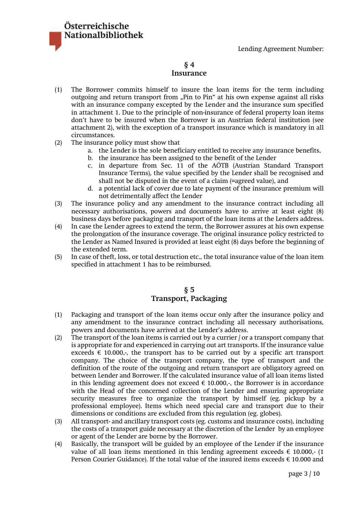

### **§ 4 Insurance**

- (1) The Borrower commits himself to insure the loan items for the term including outgoing and return transport from "Pin to Pin" at his own expense against all risks with an insurance company excepted by the Lender and the insurance sum specified in attachment 1. Due to the principle of non-insurance of federal property loan items don't have to be insured when the Borrower is an Austrian federal institution (see attachment 2), with the exception of a transport insurance which is mandatory in all circumstances.
- (2) The insurance policy must show that
	- a. the Lender is the sole beneficiary entitled to receive any insurance benefits,
	- b. the insurance has been assigned to the benefit of the Lender
	- c. in departure from Sec. 11 of the AÖTB (Austrian Standard Transport Insurance Terms), the value specified by the Lender shall be recognised and shall not be disputed in the event of a claim (=agreed value), and
	- d. a potential lack of cover due to late payment of the insurance premium will not detrimentally affect the Lender
- (3) The insurance policy and any amendment to the insurance contract including all necessary authorisations, powers and documents have to arrive at least eight (8) business days before packaging and transport of the loan items at the Lenders address.
- (4) In case the Lender agrees to extend the term, the Borrower assures at his own expense the prolongation of the insurance coverage. The original insurance policy restricted to the Lender as Named Insured is provided at least eight (8) days before the beginning of the extended term.
- (5) In case of theft, loss, or total destruction etc., the total insurance value of the loan item specified in attachment 1 has to be reimbursed.

# **§ 5 Transport, Packaging**

- (1) Packaging and transport of the loan items occur only after the insurance policy and any amendment to the insurance contract including all necessary authorisations, powers and documents have arrived at the Lender's address.
- (2) The transport of the loan items is carried out by a currier / or a transport company that is appropriate for and experienced in carrying out art transports. If the insurance value exceeds  $\epsilon$  10.000,-, the transport has to be carried out by a specific art transport company. The choice of the transport company, the type of transport and the definition of the route of the outgoing and return transport are obligatory agreed on between Lender and Borrower. If the calculated insurance value of all loan items listed in this lending agreement does not exceed  $\epsilon$  10.000,-, the Borrower is in accordance with the Head of the concerned collection of the Lender and ensuring appropriate security measures free to organize the transport by himself (eg. pickup by a professional employee). Items which need special care and transport due to their dimensions or conditions are excluded from this regulation (eg. globes).
- (3) All transport- and ancillary transport costs (eg. customs and insurance costs), including the costs of a transport guide necessary at the discretion of the Lender by an employee or agent of the Lender are borne by the Borrower.
- (4) Basically, the transport will be guided by an employee of the Lender if the insurance value of all loan items mentioned in this lending agreement exceeds  $\epsilon$  10.000,- (1 Person Courier Guidance). If the total value of the insured items exceeds  $\epsilon$  10.000 and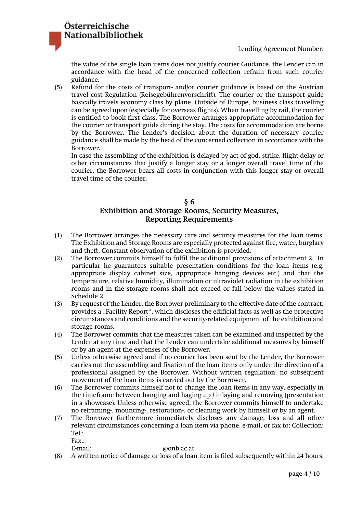the value of the single loan items does not justify courier Guidance, the Lender can in accordance with the head of the concerned collection refrain from such courier guidance.

(5) Refund for the costs of transport- and/or courier guidance is based on the Austrian travel cost Regulation (Reisegebührenvorschrift). The courier or the transport guide basically travels economy class by plane. Outside of Europe, business class travelling can be agreed upon (especially for overseas flights). When travelling by rail, the courier is entitled to book first class. The Borrower arranges appropriate accommodation for the courier or transport guide during the stay. The costs for accommodation are borne by the Borrower. The Lender's decision about the duration of necessary courier guidance shall be made by the head of the concerned collection in accordance with the Borrower.

In case the assembling of the exhibition is delayed by act of god, strike, flight delay or other circumstances that justify a longer stay or a longer overall travel time of the courier, the Borrower bears all costs in conjunction with this longer stay or overall travel time of the courier.

### **§ 6 Exhibition and Storage Rooms, Security Measures, Reporting Requirements**

- (1) The Borrower arranges the necessary care and security measures for the loan items. The Exhibition and Storage Rooms are especially protected against fire, water, burglary and theft. Constant observation of the exhibition is provided.
- (2) The Borrower commits himself to fulfil the additional provisions of attachment 2. In particular he guarantees suitable presentation conditions for the loan items (e.g. appropriate display cabinet size, appropriate hanging devices etc.) and that the temperature, relative humidity, illumination or ultraviolet radiation in the exhibition rooms and in the storage rooms shall not exceed or fall below the values stated in Schedule 2.
- (3) By request of the Lender, the Borrower preliminary to the effective date of the contract, provides a "Facility Report", which discloses the edificial facts as well as the protective circumstances and conditions and the security-related equipment of the exhibition and storage rooms.
- (4) The Borrower commits that the measures taken can be examined and inspected by the Lender at any time and that the Lender can undertake additional measures by himself or by an agent at the expenses of the Borrower.
- (5) Unless otherwise agreed and if no courier has been sent by the Lender, the Borrower carries out the assembling and fixation of the loan items only under the direction of a professional assigned by the Borrower. Without written regulation, no subsequent movement of the loan items is carried out by the Borrower.
- (6) The Borrower commits himself not to change the loan items in any way, especially in the timeframe between hanging and haging up / inlaying and removing (presentation in a showcase). Unless otherwise agreed, the Borrower commits himself to undertake no reframing-, mounting-, restoration-, or cleaning work by himself or by an agent.
- (7) The Borrower furthermore immediately discloses any damage, loss and all other relevant circumstances concerning a loan item via phone, e-mail, or fax to: Collection: Tel.:

Fax.:

Österreichische

Nationalbibliothek

E-mail: @onb.ac.at

(8) A written notice of damage or loss of a loan item is filed subsequently within 24 hours.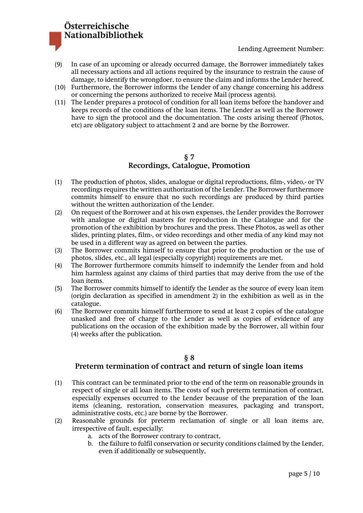# Österreichische Nationalbibliothek

### Lending Agreement Number:

- (9) In case of an upcoming or already occurred damage, the Borrower immediately takes all necessary actions and all actions required by the insurance to restrain the cause of damage, to identify the wrongdoer, to ensure the claim and informs the Lender hereof.
- (10) Furthermore, the Borrower informs the Lender of any change concerning his address or concerning the persons authorized to receive Mail (process agents).
- (11) The Lender prepares a protocol of condition for all loan items before the handover and keeps records of the conditions of the loan items. The Lender as well as the Borrower have to sign the protocol and the documentation. The costs arising thereof (Photos, etc) are obligatory subject to attachment 2 and are borne by the Borrower.

# **§ 7 Recordings, Catalogue, Promotion**

- (1) The production of photos, slides, analogue or digital reproductions, film-, video,- or TV recordings requires the written authorization of the Lender. The Borrower furthermore commits himself to ensure that no such recordings are produced by third parties without the written authorization of the Lender.
- (2) On request of the Borrower and at his own expenses, the Lender provides the Borrower with analogue or digital masters for reproduction in the Catalogue and for the promotion of the exhibition by brochures and the press. These Photos, as well as other slides, printing plates, film-, or video recordings and other media of any kind may not be used in a different way as agreed on between the parties.
- (3) The Borrower commits himself to ensure that prior to the production or the use of photos, slides, etc., all legal (especially copyright) requirements are met.
- (4) The Borrower furthermore commits himself to indemnify the Lender from and hold him harmless against any claims of third parties that may derive from the use of the loan items.
- (5) The Borrower commits himself to identify the Lender as the source of every loan item (origin declaration as specified in amendment 2) in the exhibition as well as in the catalogue.
- (6) The Borrower commits himself furthermore to send at least 2 copies of the catalogue unasked and free of charge to the Lender as well as copies of evidence of any publications on the occasion of the exhibition made by the Borrower, all within four (4) weeks after the publication.

#### **§ 8**

### **Preterm termination of contract and return of single loan items**

- (1) This contract can be terminated prior to the end of the term on reasonable grounds in respect of single or all loan items. The costs of such preterm termination of contract, especially expenses occurred to the Lender because of the preparation of the loan items (cleaning, restoration, conservation measures, packaging and transport, administrative costs, etc.) are borne by the Borrower.
- (2) Reasonable grounds for preterm reclamation of single or all loan items are, irrespective of fault, especially:
	- a. acts of the Borrower contrary to contract,
	- b. the failure to fulfil conservation or security conditions claimed by the Lender, even if additionally or subsequently,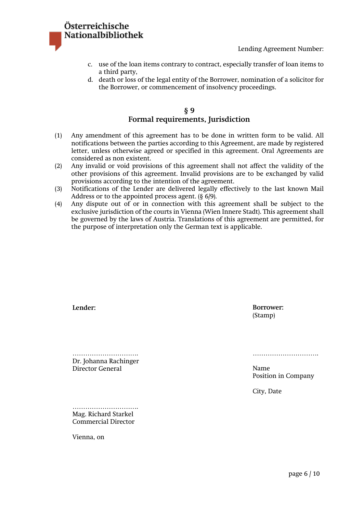

- c. use of the loan items contrary to contract, especially transfer of loan items to a third party,
- d. death or loss of the legal entity of the Borrower, nomination of a solicitor for the Borrower, or commencement of insolvency proceedings.

# **§ 9 Formal requirements, Jurisdiction**

- (1) Any amendment of this agreement has to be done in written form to be valid. All notifications between the parties according to this Agreement, are made by registered letter, unless otherwise agreed or specified in this agreement. Oral Agreements are considered as non existent.
- (2) Any invalid or void provisions of this agreement shall not affect the validity of the other provisions of this agreement. Invalid provisions are to be exchanged by valid provisions according to the intention of the agreement.
- (3) Notifications of the Lender are delivered legally effectively to the last known Mail Address or to the appointed process agent. (§ 6/9).
- (4) Any dispute out of or in connection with this agreement shall be subject to the exclusive jurisdiction of the courts in Vienna (Wien Innere Stadt). This agreement shall be governed by the laws of Austria. Translations of this agreement are permitted, for the purpose of interpretation only the German text is applicable.

| Lender:                                            | Borrower:<br>(Stamp)                      |
|----------------------------------------------------|-------------------------------------------|
| Dr. Johanna Rachinger<br>Director General          | Name<br>Position in Company<br>City, Date |
| Mag. Richard Starkel<br><b>Commercial Director</b> |                                           |
| Vienna, on                                         |                                           |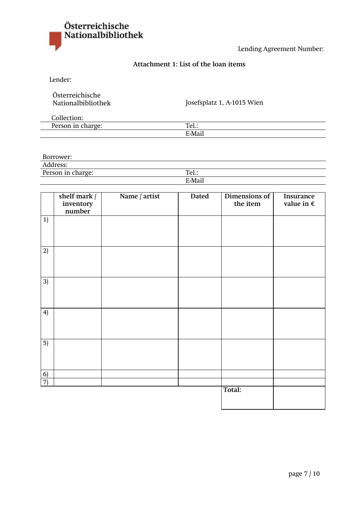

# **Attachment 1: List of the loan items**

Lender:

| Osterreichische    |  |
|--------------------|--|
| Nationalbibliothek |  |

Josefsplatz 1, A-1015 Wien

| $\sim$ 1100<br>៱…<br>лı.                    |                       |
|---------------------------------------------|-----------------------|
| <b>D</b><br>l<br>$\alpha$ bon $\alpha$<br>. | $T_{\alpha}$<br>1 C T |
|                                             | $F.M$ <sub>2</sub> il |

Borrower:

Address:

Person in charge:

| vіa |  |
|-----|--|

|                | shelf mark /<br>inventory<br>number | Name / artist | Dated | Dimensions of<br>the item | Insurance<br>value in $\boldsymbol{\epsilon}$ |
|----------------|-------------------------------------|---------------|-------|---------------------------|-----------------------------------------------|
| 1)             |                                     |               |       |                           |                                               |
| 2)             |                                     |               |       |                           |                                               |
| 3)             |                                     |               |       |                           |                                               |
| 4)             |                                     |               |       |                           |                                               |
| 5)             |                                     |               |       |                           |                                               |
| $\overline{6}$ |                                     |               |       |                           |                                               |
| $\overline{7}$ |                                     |               |       | Total:                    |                                               |
|                |                                     |               |       |                           |                                               |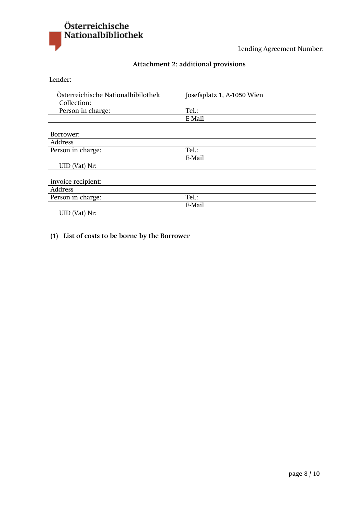

# **Attachment 2: additional provisions**

Lender:

| Österreichische Nationalbibilothek | Josefsplatz 1, A-1050 Wien |
|------------------------------------|----------------------------|
| Collection:                        |                            |
| Person in charge:                  | Tel.:                      |
|                                    | E-Mail                     |
|                                    |                            |
| Borrower:                          |                            |
| Address                            |                            |
| Person in charge:                  | Tel.:                      |
|                                    | E-Mail                     |
| UID (Vat) Nr:                      |                            |
|                                    |                            |
| invoice recipient:                 |                            |
| Address                            |                            |
| Person in charge:                  | Tel.:                      |
|                                    | E-Mail                     |
| UID (Vat) Nr:                      |                            |

**(1) List of costs to be borne by the Borrower**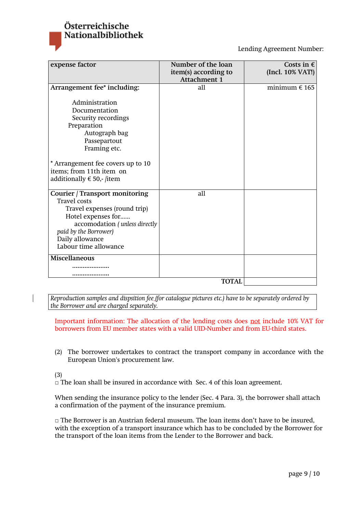

| expense factor                                                                                                                                                                                                           | Number of the loan<br>item(s) according to<br><b>Attachment 1</b> | Costs in $\epsilon$<br>(Incl. 10% VAT!) |
|--------------------------------------------------------------------------------------------------------------------------------------------------------------------------------------------------------------------------|-------------------------------------------------------------------|-----------------------------------------|
| Arrangement fee* including:                                                                                                                                                                                              | all                                                               | minimum $\epsilon$ 165                  |
| Administration<br>Documentation<br>Security recordings<br>Preparation<br>Autograph bag<br>Passepartout<br>Framing etc.<br>* Arrangement fee covers up to 10<br>items; from 11th item on<br>additionally € 50,- /item     |                                                                   |                                         |
| <b>Courier / Transport monitoring</b><br><b>Travel</b> costs<br>Travel expenses (round trip)<br>Hotel expenses for<br>accomodation (unless directly<br>paid by the Borrower)<br>Daily allowance<br>Labour time allowance | all                                                               |                                         |
| Miscellaneous                                                                                                                                                                                                            |                                                                   |                                         |
|                                                                                                                                                                                                                          |                                                                   |                                         |
|                                                                                                                                                                                                                          |                                                                   |                                         |
|                                                                                                                                                                                                                          | <b>TOTAL</b>                                                      |                                         |

*Reproduction samples and dispsition fee (for catalogue pictures etc.) have to be separately ordered by the Borrower and are charged separately.* 

Important information: The allocation of the lending costs does not include 10% VAT for borrowers from EU member states with a valid UID-Number and from EU-third states.

(2) The borrower undertakes to contract the transport company in accordance with the European Union's procurement law.

(3)

**□** The loan shall be insured in accordance with Sec. 4 of this loan agreement.

When sending the insurance policy to the lender (Sec. 4 Para. 3), the borrower shall attach a confirmation of the payment of the insurance premium.

**□** The Borrower is an Austrian federal museum. The loan items don't have to be insured, with the exception of a transport insurance which has to be concluded by the Borrower for the transport of the loan items from the Lender to the Borrower and back.